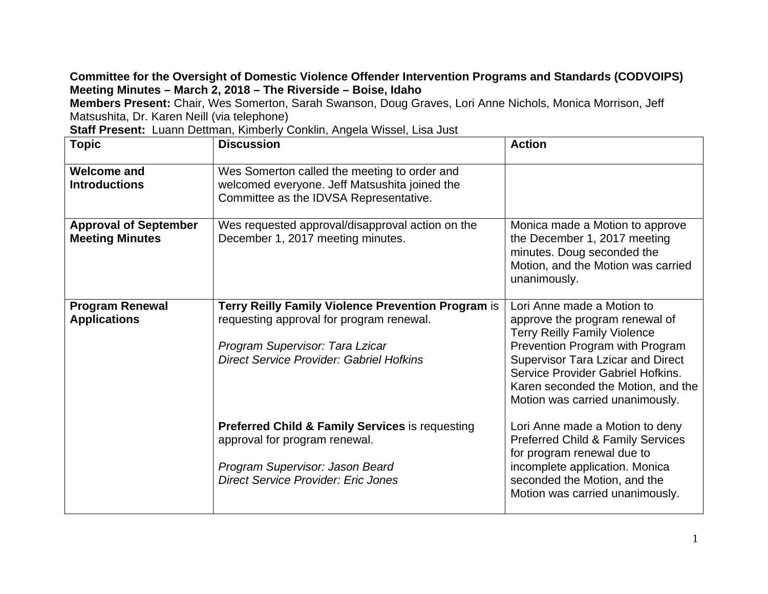## **Committee for the Oversight of Domestic Violence Offender Intervention Programs and Standards (CODVOIPS) Meeting Minutes – March 2, 2018 – The Riverside – Boise, Idaho**

**Members Present:** Chair, Wes Somerton, Sarah Swanson, Doug Graves, Lori Anne Nichols, Monica Morrison, Jeff Matsushita, Dr. Karen Neill (via telephone)

**Staff Present:** Luann Dettman, Kimberly Conklin, Angela Wissel, Lisa Just

| <b>Topic</b>                                           | <b>Discussion</b>                                                                                                                                                                    | <b>Action</b>                                                                                                                                                                                                                                                                                    |
|--------------------------------------------------------|--------------------------------------------------------------------------------------------------------------------------------------------------------------------------------------|--------------------------------------------------------------------------------------------------------------------------------------------------------------------------------------------------------------------------------------------------------------------------------------------------|
| <b>Welcome and</b><br><b>Introductions</b>             | Wes Somerton called the meeting to order and<br>welcomed everyone. Jeff Matsushita joined the<br>Committee as the IDVSA Representative.                                              |                                                                                                                                                                                                                                                                                                  |
| <b>Approval of September</b><br><b>Meeting Minutes</b> | Wes requested approval/disapproval action on the<br>December 1, 2017 meeting minutes.                                                                                                | Monica made a Motion to approve<br>the December 1, 2017 meeting<br>minutes. Doug seconded the<br>Motion, and the Motion was carried<br>unanimously.                                                                                                                                              |
| <b>Program Renewal</b><br><b>Applications</b>          | Terry Reilly Family Violence Prevention Program is<br>requesting approval for program renewal.<br>Program Supervisor: Tara Lzicar<br><b>Direct Service Provider: Gabriel Hofkins</b> | Lori Anne made a Motion to<br>approve the program renewal of<br><b>Terry Reilly Family Violence</b><br>Prevention Program with Program<br><b>Supervisor Tara Lzicar and Direct</b><br>Service Provider Gabriel Hofkins.<br>Karen seconded the Motion, and the<br>Motion was carried unanimously. |
|                                                        | <b>Preferred Child &amp; Family Services is requesting</b><br>approval for program renewal.<br>Program Supervisor: Jason Beard<br><b>Direct Service Provider: Eric Jones</b>         | Lori Anne made a Motion to deny<br><b>Preferred Child &amp; Family Services</b><br>for program renewal due to<br>incomplete application. Monica<br>seconded the Motion, and the<br>Motion was carried unanimously.                                                                               |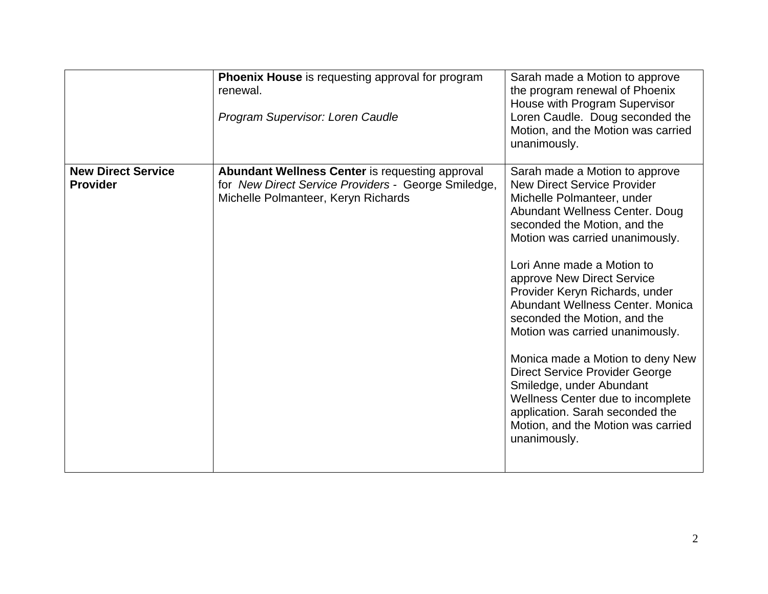|                                              | <b>Phoenix House</b> is requesting approval for program<br>renewal.<br>Program Supervisor: Loren Caudle                                              | Sarah made a Motion to approve<br>the program renewal of Phoenix<br>House with Program Supervisor<br>Loren Caudle. Doug seconded the<br>Motion, and the Motion was carried<br>unanimously.                                                                                                                                                                                                                                                                                                                                                                                                                                                          |
|----------------------------------------------|------------------------------------------------------------------------------------------------------------------------------------------------------|-----------------------------------------------------------------------------------------------------------------------------------------------------------------------------------------------------------------------------------------------------------------------------------------------------------------------------------------------------------------------------------------------------------------------------------------------------------------------------------------------------------------------------------------------------------------------------------------------------------------------------------------------------|
| <b>New Direct Service</b><br><b>Provider</b> | <b>Abundant Wellness Center is requesting approval</b><br>for New Direct Service Providers - George Smiledge,<br>Michelle Polmanteer, Keryn Richards | Sarah made a Motion to approve<br><b>New Direct Service Provider</b><br>Michelle Polmanteer, under<br>Abundant Wellness Center. Doug<br>seconded the Motion, and the<br>Motion was carried unanimously.<br>Lori Anne made a Motion to<br>approve New Direct Service<br>Provider Keryn Richards, under<br>Abundant Wellness Center. Monica<br>seconded the Motion, and the<br>Motion was carried unanimously.<br>Monica made a Motion to deny New<br><b>Direct Service Provider George</b><br>Smiledge, under Abundant<br>Wellness Center due to incomplete<br>application. Sarah seconded the<br>Motion, and the Motion was carried<br>unanimously. |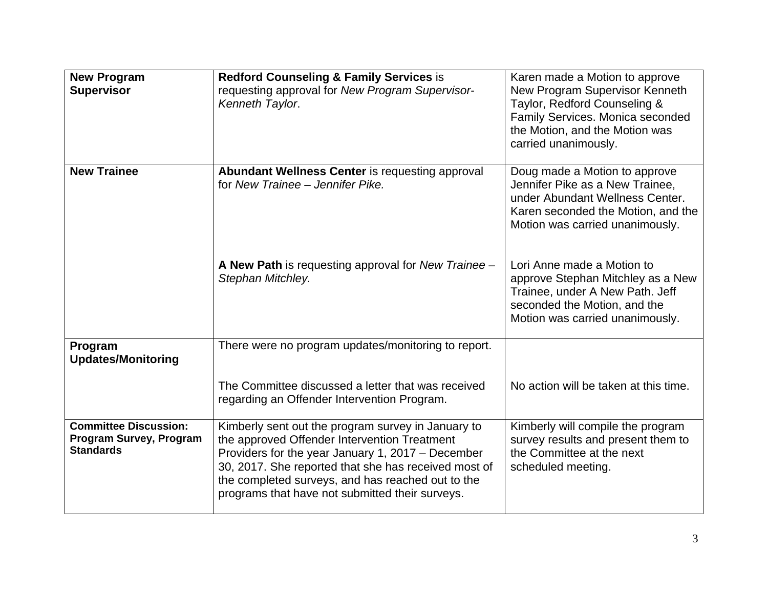| <b>New Program</b><br><b>Supervisor</b>                                     | <b>Redford Counseling &amp; Family Services is</b><br>requesting approval for New Program Supervisor-<br>Kenneth Taylor.                                                                                                                                                                                                | Karen made a Motion to approve<br>New Program Supervisor Kenneth<br>Taylor, Redford Counseling &<br>Family Services. Monica seconded<br>the Motion, and the Motion was<br>carried unanimously. |
|-----------------------------------------------------------------------------|-------------------------------------------------------------------------------------------------------------------------------------------------------------------------------------------------------------------------------------------------------------------------------------------------------------------------|------------------------------------------------------------------------------------------------------------------------------------------------------------------------------------------------|
| <b>New Trainee</b>                                                          | Abundant Wellness Center is requesting approval<br>for New Trainee - Jennifer Pike.                                                                                                                                                                                                                                     | Doug made a Motion to approve<br>Jennifer Pike as a New Trainee,<br>under Abundant Wellness Center.<br>Karen seconded the Motion, and the<br>Motion was carried unanimously.                   |
|                                                                             | A New Path is requesting approval for New Trainee -<br>Stephan Mitchley.                                                                                                                                                                                                                                                | Lori Anne made a Motion to<br>approve Stephan Mitchley as a New<br>Trainee, under A New Path. Jeff<br>seconded the Motion, and the<br>Motion was carried unanimously.                          |
| Program<br><b>Updates/Monitoring</b>                                        | There were no program updates/monitoring to report.                                                                                                                                                                                                                                                                     |                                                                                                                                                                                                |
|                                                                             | The Committee discussed a letter that was received<br>regarding an Offender Intervention Program.                                                                                                                                                                                                                       | No action will be taken at this time.                                                                                                                                                          |
| <b>Committee Discussion:</b><br>Program Survey, Program<br><b>Standards</b> | Kimberly sent out the program survey in January to<br>the approved Offender Intervention Treatment<br>Providers for the year January 1, 2017 - December<br>30, 2017. She reported that she has received most of<br>the completed surveys, and has reached out to the<br>programs that have not submitted their surveys. | Kimberly will compile the program<br>survey results and present them to<br>the Committee at the next<br>scheduled meeting.                                                                     |